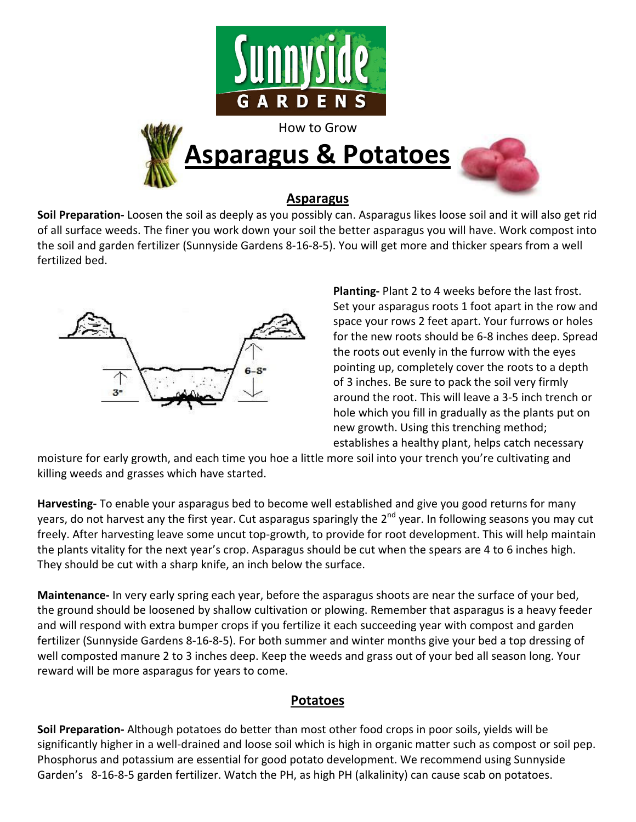

## **Asparagus**

**Soil Preparation-** Loosen the soil as deeply as you possibly can. Asparagus likes loose soil and it will also get rid of all surface weeds. The finer you work down your soil the better asparagus you will have. Work compost into the soil and garden fertilizer (Sunnyside Gardens 8-16-8-5). You will get more and thicker spears from a well fertilized bed.



**Planting-** Plant 2 to 4 weeks before the last frost. Set your asparagus roots 1 foot apart in the row and space your rows 2 feet apart. Your furrows or holes for the new roots should be 6-8 inches deep. Spread the roots out evenly in the furrow with the eyes pointing up, completely cover the roots to a depth of 3 inches. Be sure to pack the soil very firmly around the root. This will leave a 3-5 inch trench or hole which you fill in gradually as the plants put on new growth. Using this trenching method; establishes a healthy plant, helps catch necessary

moisture for early growth, and each time you hoe a little more soil into your trench you're cultivating and killing weeds and grasses which have started.

**Harvesting-** To enable your asparagus bed to become well established and give you good returns for many years, do not harvest any the first year. Cut asparagus sparingly the 2<sup>nd</sup> year. In following seasons you may cut freely. After harvesting leave some uncut top-growth, to provide for root development. This will help maintain the plants vitality for the next year's crop. Asparagus should be cut when the spears are 4 to 6 inches high. They should be cut with a sharp knife, an inch below the surface.

**Maintenance-** In very early spring each year, before the asparagus shoots are near the surface of your bed, the ground should be loosened by shallow cultivation or plowing. Remember that asparagus is a heavy feeder and will respond with extra bumper crops if you fertilize it each succeeding year with compost and garden fertilizer (Sunnyside Gardens 8-16-8-5). For both summer and winter months give your bed a top dressing of well composted manure 2 to 3 inches deep. Keep the weeds and grass out of your bed all season long. Your reward will be more asparagus for years to come.

## **Potatoes**

**Soil Preparation-** Although potatoes do better than most other food crops in poor soils, yields will be significantly higher in a well-drained and loose soil which is high in organic matter such as compost or soil pep. Phosphorus and potassium are essential for good potato development. We recommend using Sunnyside Garden's 8-16-8-5 garden fertilizer. Watch the PH, as high PH (alkalinity) can cause scab on potatoes.